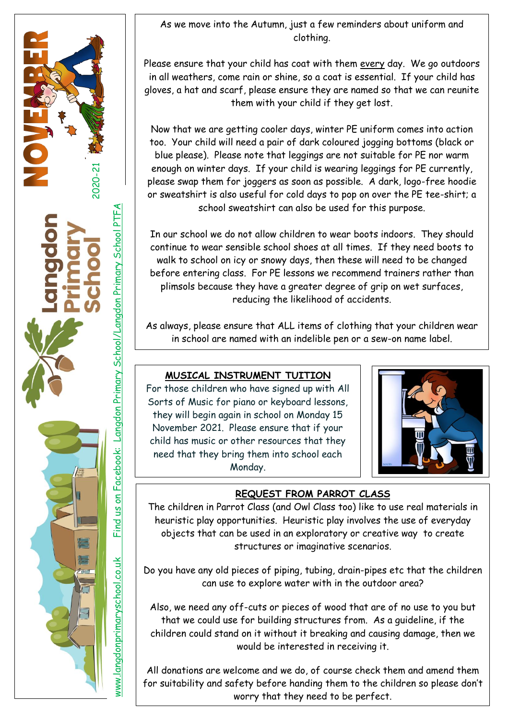As we move into the Autumn, just a few reminders about uniform and clothing.

l

2020-21

Please ensure that your child has coat with them every day. We go outdoors in all weathers, come rain or shine, so a coat is essential. If your child has gloves, a hat and scarf, please ensure they are named so that we can reunite them with your child if they get lost.

Now that we are getting cooler days, winter PE uniform comes into action too. Your child will need a pair of dark coloured jogging bottoms (black or blue please). Please note that leggings are not suitable for PE nor warm enough on winter days. If your child is wearing leggings for PE currently, please swap them for joggers as soon as possible. A dark, logo-free hoodie or sweatshirt is also useful for cold days to pop on over the PE tee-shirt; a school sweatshirt can also be used for this purpose.

In our school we do not allow children to wear boots indoors. They should continue to wear sensible school shoes at all times. If they need boots to walk to school on icy or snowy days, then these will need to be changed before entering class. For PE lessons we recommend trainers rather than plimsols because they have a greater degree of grip on wet surfaces, reducing the likelihood of accidents.

As always, please ensure that ALL items of clothing that your children wear in school are named with an indelible pen or a sew-on name label.

## **MUSICAL INSTRUMENT TUITION**

For those children who have signed up with All Sorts of Music for piano or keyboard lessons, they will begin again in school on Monday 15 November 2021. Please ensure that if your child has music or other resources that they need that they bring them into school each Monday.

www.langdonprimaryschool.co.uk Find us on Facebook: Langdon Primary School/Langdon Primary School PTFA

www.langdonprimaryschool.co.uk

Find us on Facebook: Langdon Primary School/Langdon Primary School PTFA



# **REQUEST FROM PARROT CLASS**

The children in Parrot Class (and Owl Class too) like to use real materials in heuristic play opportunities. Heuristic play involves the use of everyday objects that can be used in an exploratory or creative way to create structures or imaginative scenarios.

Do you have any old pieces of piping, tubing, drain-pipes etc that the children can use to explore water with in the outdoor area?

Also, we need any off-cuts or pieces of wood that are of no use to you but that we could use for building structures from. As a guideline, if the children could stand on it without it breaking and causing damage, then we would be interested in receiving it.

All donations are welcome and we do, of course check them and amend them for suitability and safety before handing them to the children so please don't worry that they need to be perfect.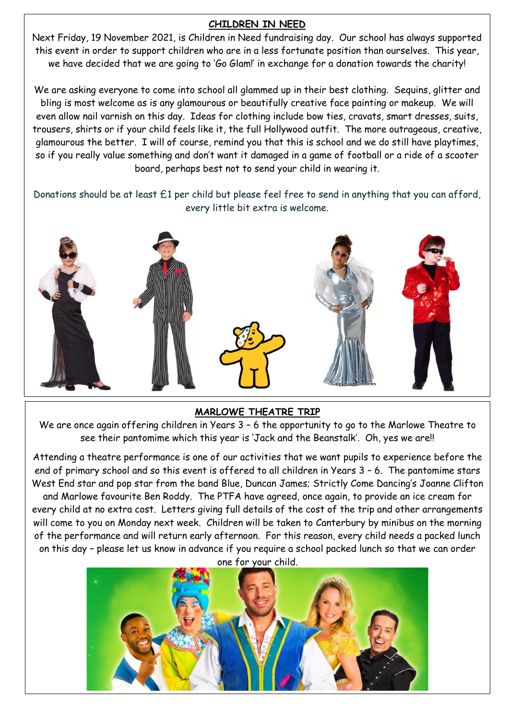#### **CHILDREN IN NEED**

Next Friday, 19 November 2021, is Children in Need fundraising day. Our school has always supported this event in order to support children who are in a less fortunate position than ourselves. This year, we have decided that we are going to 'Go Glam!' in exchange for a donation towards the charity!

We are asking everyone to come into school all glammed up in their best clothing. Sequins, glitter and bling is most welcome as is any glamourous or beautifully creative face painting or makeup. We will even allow nail varnish on this day. Ideas for clothing include bow ties, cravats, smart dresses, suits, trousers, shirts or if your child feels like it, the full Hollywood outfit. The more outrageous, creative, glamourous the better. I will of course, remind you that this is school and we do still have playtimes, so if you really value something and don't want it damaged in a game of football or a ride of a scooter board, perhaps best not to send your child in wearing it.

Donations should be at least £1 per child but please feel free to send in anything that you can afford, every little bit extra is welcome.



#### **MARLOWE THEATRE TRIP**

We are once again offering children in Years 3 – 6 the opportunity to go to the Marlowe Theatre to see their pantomime which this year is 'Jack and the Beanstalk'. Oh, yes we are!!

Attending a theatre performance is one of our activities that we want pupils to experience before the end of primary school and so this event is offered to all children in Years 3 – 6. The pantomime stars West End star and pop star from the band Blue, Duncan James; Strictly Come Dancing's Joanne Clifton and Marlowe favourite Ben Roddy. The PTFA have agreed, once again, to provide an ice cream for every child at no extra cost. Letters giving full details of the cost of the trip and other arrangements will come to you on Monday next week. Children will be taken to Canterbury by minibus on the morning of the performance and will return early afternoon. For this reason, every child needs a packed lunch on this day – please let us know in advance if you require a school packed lunch so that we can order

one for your child.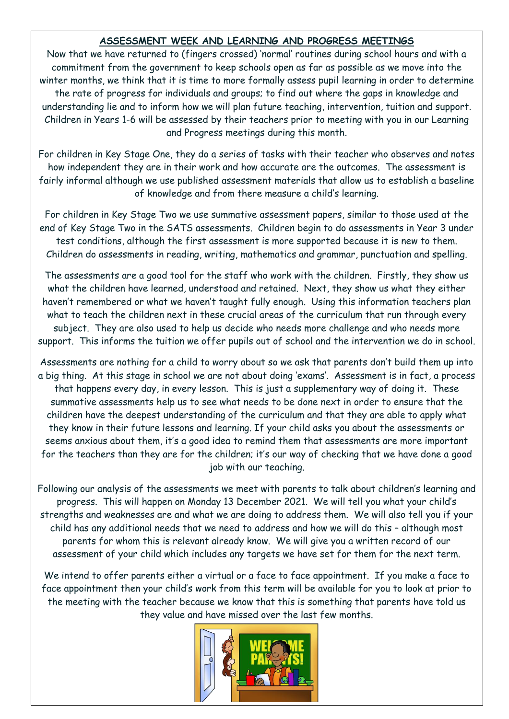### **ASSESSMENT WEEK AND LEARNING AND PROGRESS MEETINGS**

Now that we have returned to (fingers crossed) 'normal' routines during school hours and with a commitment from the government to keep schools open as far as possible as we move into the winter months, we think that it is time to more formally assess pupil learning in order to determine the rate of progress for individuals and groups; to find out where the gaps in knowledge and understanding lie and to inform how we will plan future teaching, intervention, tuition and support. Children in Years 1-6 will be assessed by their teachers prior to meeting with you in our Learning and Progress meetings during this month.

For children in Key Stage One, they do a series of tasks with their teacher who observes and notes how independent they are in their work and how accurate are the outcomes. The assessment is fairly informal although we use published assessment materials that allow us to establish a baseline of knowledge and from there measure a child's learning.

For children in Key Stage Two we use summative assessment papers, similar to those used at the end of Key Stage Two in the SATS assessments. Children begin to do assessments in Year 3 under test conditions, although the first assessment is more supported because it is new to them. Children do assessments in reading, writing, mathematics and grammar, punctuation and spelling.

The assessments are a good tool for the staff who work with the children. Firstly, they show us what the children have learned, understood and retained. Next, they show us what they either haven't remembered or what we haven't taught fully enough. Using this information teachers plan what to teach the children next in these crucial areas of the curriculum that run through every subject. They are also used to help us decide who needs more challenge and who needs more support. This informs the tuition we offer pupils out of school and the intervention we do in school.

Assessments are nothing for a child to worry about so we ask that parents don't build them up into a big thing. At this stage in school we are not about doing 'exams'. Assessment is in fact, a process that happens every day, in every lesson. This is just a supplementary way of doing it. These summative assessments help us to see what needs to be done next in order to ensure that the children have the deepest understanding of the curriculum and that they are able to apply what they know in their future lessons and learning. If your child asks you about the assessments or seems anxious about them, it's a good idea to remind them that assessments are more important for the teachers than they are for the children; it's our way of checking that we have done a good job with our teaching.

Following our analysis of the assessments we meet with parents to talk about children's learning and progress. This will happen on Monday 13 December 2021. We will tell you what your child's strengths and weaknesses are and what we are doing to address them. We will also tell you if your child has any additional needs that we need to address and how we will do this – although most parents for whom this is relevant already know. We will give you a written record of our assessment of your child which includes any targets we have set for them for the next term.

We intend to offer parents either a virtual or a face to face appointment. If you make a face to face appointment then your child's work from this term will be available for you to look at prior to the meeting with the teacher because we know that this is something that parents have told us they value and have missed over the last few months.